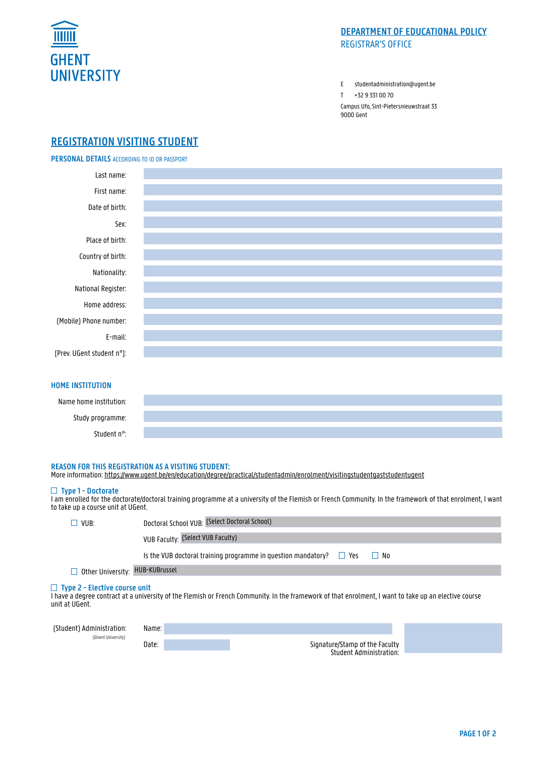

# **DEPARTMENT OF EDUCATIONAL POLICY** REGISTRAR'S OFFICE

E studentadministration@ugent.be

T +32 9 331 00 70

Campus Ufo, Sint-Pietersnieuwstraat 33 9000 Gent

# **REGISTRATION VISITING STUDENT**

**PERSONAL DETAILS** ACCORDING TO ID OR PASSPORT



# **HOME INSTITUTION**

| Name home institution:  |  |
|-------------------------|--|
| Study programme:        |  |
| Student n <sup>o.</sup> |  |

### **REASON FOR THIS REGISTRATION AS A VISITING STUDENT:**

More information: https://www.ugent.be/en/education/degree/practical/studentadmin/enrolment/visitingstudentgaststudentugent

## **Type 1 - Doctorate**

I am enrolled for the doctorate/doctoral training programme at a university of the Flemish or French Community. In the framework of that enrolment, I want to take up a course unit at UGent.

| VUB:                                                                                                                                                                                                            | Doctoral School VUB: (Select Doctoral School)                                         |  |  |  |  |  |  |  |  |
|-----------------------------------------------------------------------------------------------------------------------------------------------------------------------------------------------------------------|---------------------------------------------------------------------------------------|--|--|--|--|--|--|--|--|
|                                                                                                                                                                                                                 | <b>VUB Faculty: (Select VUB Faculty)</b>                                              |  |  |  |  |  |  |  |  |
|                                                                                                                                                                                                                 | Is the VUB doctoral training programme in question mandatory? $\Box$ Yes<br>$\Box$ No |  |  |  |  |  |  |  |  |
| Other University: HUB-KUBrussel                                                                                                                                                                                 |                                                                                       |  |  |  |  |  |  |  |  |
| $\Box$ Type 2 - Elective course unit<br>I have a degree contract at a university of the Flemish or French Community. In the framework of that enrolment, I want to take up an elective course<br>unit at UGent. |                                                                                       |  |  |  |  |  |  |  |  |
|                                                                                                                                                                                                                 |                                                                                       |  |  |  |  |  |  |  |  |

| (Student) Administration: | Name: |                                |
|---------------------------|-------|--------------------------------|
| (Ghent University)        |       |                                |
|                           | Date: | Signature/Stamp of the Faculty |
|                           |       | Student Administration:        |